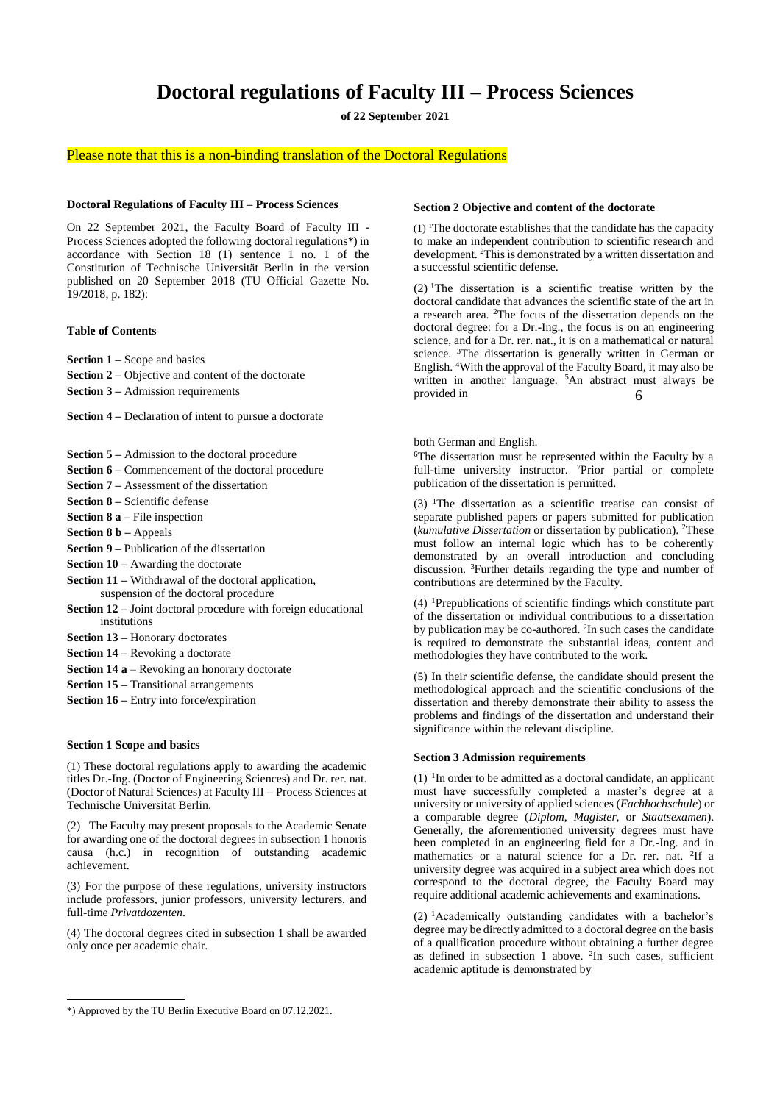# **Doctoral regulations of Faculty III – Process Sciences**

**of 22 September 2021**

# Please note that this is a non-binding translation of the Doctoral Regulations

#### **Doctoral Regulations of Faculty III – Process Sciences**

On 22 September 2021, the Faculty Board of Faculty III - Process Sciences adopted the following doctoral regulations\*) in accordance with Section 18 (1) sentence 1 no. 1 of the Constitution of Technische Universität Berlin in the version published on 20 September 2018 (TU Official Gazette No. 19/2018, p. 182):

# **Table of Contents**

**Section 1 –** Scope and basics

- **Section 2 –** Objective and content of the doctorate
- **Section 3 –** Admission requirements

**Section 4 –** Declaration of intent to pursue a doctorate

- **Section 5 –** Admission to the doctoral procedure
- **Section 6 –** Commencement of the doctoral procedure
- **Section 7 –** Assessment of the dissertation
- **Section 8 –** Scientific defense
- **Section 8 a –** File inspection
- **Section 8 b –** Appeals
- **Section 9 –** Publication of the dissertation
- **Section 10 –** Awarding the doctorate
- **Section 11 –** Withdrawal of the doctoral application, suspension of the doctoral procedure
- **Section 12 –** Joint doctoral procedure with foreign educational institutions
- **Section 13 –** Honorary doctorates
- **Section 14 –** Revoking a doctorate
- **Section 14 a** Revoking an honorary doctorate
- **Section 15 –** Transitional arrangements
- **Section 16 –** Entry into force/expiration

## **Section 1 Scope and basics**

(1) These doctoral regulations apply to awarding the academic titles Dr.-Ing. (Doctor of Engineering Sciences) and Dr. rer. nat. (Doctor of Natural Sciences) at Faculty III – Process Sciences at Technische Universität Berlin.

(2) The Faculty may present proposals to the Academic Senate for awarding one of the doctoral degrees in subsection 1 honoris causa (h.c.) in recognition of outstanding academic achievement.

(3) For the purpose of these regulations, university instructors include professors, junior professors, university lecturers, and full-time *Privatdozenten*.

(4) The doctoral degrees cited in subsection 1 shall be awarded only once per academic chair.

#### \*) Approved by the TU Berlin Executive Board on 07.12.2021.

## **Section 2 Objective and content of the doctorate**

 $(1)$  The doctorate establishes that the candidate has the capacity to make an independent contribution to scientific research and development. <sup>2</sup>This is demonstrated by a written dissertation and a successful scientific defense.

 $(2)$  <sup>1</sup>The dissertation is a scientific treatise written by the doctoral candidate that advances the scientific state of the art in a research area. <sup>2</sup>The focus of the dissertation depends on the doctoral degree: for a Dr.-Ing., the focus is on an engineering science, and for a Dr. rer. nat., it is on a mathematical or natural science. <sup>3</sup>The dissertation is generally written in German or English. <sup>4</sup>With the approval of the Faculty Board, it may also be written in another language. <sup>5</sup>An abstract must always be provided in 6

both German and English.

<sup>6</sup>The dissertation must be represented within the Faculty by a full-time university instructor. <sup>7</sup>Prior partial or complete publication of the dissertation is permitted.

 $(3)$  <sup>1</sup>The dissertation as a scientific treatise can consist of separate published papers or papers submitted for publication (*kumulative Dissertation* or dissertation by publication). <sup>2</sup>These must follow an internal logic which has to be coherently demonstrated by an overall introduction and concluding discussion. <sup>3</sup>Further details regarding the type and number of contributions are determined by the Faculty.

(4) <sup>1</sup>Prepublications of scientific findings which constitute part of the dissertation or individual contributions to a dissertation by publication may be co-authored. <sup>2</sup>In such cases the candidate is required to demonstrate the substantial ideas, content and methodologies they have contributed to the work.

(5) In their scientific defense, the candidate should present the methodological approach and the scientific conclusions of the dissertation and thereby demonstrate their ability to assess the problems and findings of the dissertation and understand their significance within the relevant discipline.

# **Section 3 Admission requirements**

 $(1)$  <sup>1</sup>In order to be admitted as a doctoral candidate, an applicant must have successfully completed a master's degree at a university or university of applied sciences (*Fachhochschule*) or a comparable degree (*Diplom*, *Magister*, or *Staatsexamen*). Generally, the aforementioned university degrees must have been completed in an engineering field for a Dr.-Ing. and in mathematics or a natural science for a Dr. rer. nat. <sup>2</sup>If a university degree was acquired in a subject area which does not correspond to the doctoral degree, the Faculty Board may require additional academic achievements and examinations.

(2) <sup>1</sup>Academically outstanding candidates with a bachelor's degree may be directly admitted to a doctoral degree on the basis of a qualification procedure without obtaining a further degree as defined in subsection 1 above. <sup>2</sup> In such cases, sufficient academic aptitude is demonstrated by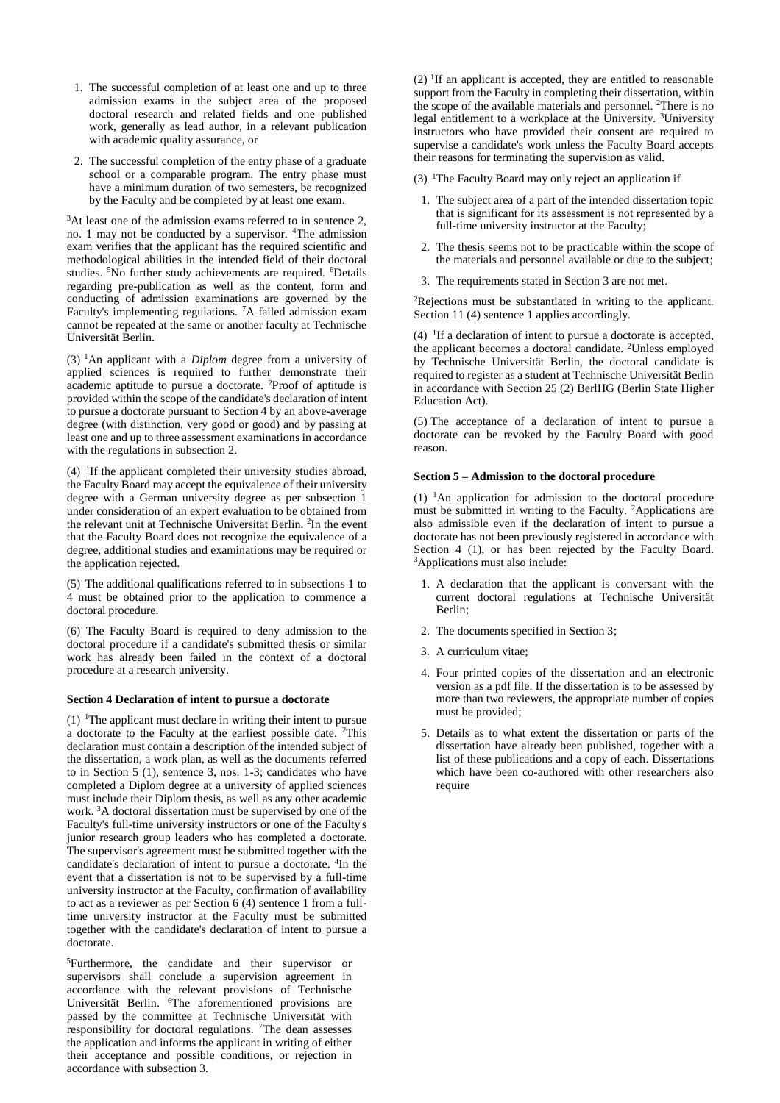- 1. The successful completion of at least one and up to three admission exams in the subject area of the proposed doctoral research and related fields and one published work, generally as lead author, in a relevant publication with academic quality assurance, or
- 2. The successful completion of the entry phase of a graduate school or a comparable program. The entry phase must have a minimum duration of two semesters, be recognized by the Faculty and be completed by at least one exam.

<sup>3</sup>At least one of the admission exams referred to in sentence 2, no. 1 may not be conducted by a supervisor. <sup>4</sup>The admission exam verifies that the applicant has the required scientific and methodological abilities in the intended field of their doctoral studies. <sup>5</sup>No further study achievements are required. <sup>6</sup>Details regarding pre-publication as well as the content, form and conducting of admission examinations are governed by the Faculty's implementing regulations. <sup>7</sup>A failed admission exam cannot be repeated at the same or another faculty at Technische Universität Berlin.

(3) <sup>1</sup>An applicant with a *Diplom* degree from a university of applied sciences is required to further demonstrate their academic aptitude to pursue a doctorate. <sup>2</sup>Proof of aptitude is provided within the scope of the candidate's declaration of intent to pursue a doctorate pursuant to Section 4 by an above-average degree (with distinction, very good or good) and by passing at least one and up to three assessment examinations in accordance with the regulations in subsection 2.

 $(4)$  <sup>1</sup>If the applicant completed their university studies abroad, the Faculty Board may accept the equivalence of their university degree with a German university degree as per subsection 1 under consideration of an expert evaluation to be obtained from the relevant unit at Technische Universität Berlin. <sup>2</sup> In the event that the Faculty Board does not recognize the equivalence of a degree, additional studies and examinations may be required or the application rejected.

(5) The additional qualifications referred to in subsections 1 to 4 must be obtained prior to the application to commence a doctoral procedure.

(6) The Faculty Board is required to deny admission to the doctoral procedure if a candidate's submitted thesis or similar work has already been failed in the context of a doctoral procedure at a research university.

# **Section 4 Declaration of intent to pursue a doctorate**

 $(1)$  <sup>1</sup>The applicant must declare in writing their intent to pursue a doctorate to the Faculty at the earliest possible date. <sup>2</sup>This declaration must contain a description of the intended subject of the dissertation, a work plan, as well as the documents referred to in Section 5 (1), sentence 3, nos. 1-3; candidates who have completed a Diplom degree at a university of applied sciences must include their Diplom thesis, as well as any other academic work. <sup>3</sup>A doctoral dissertation must be supervised by one of the Faculty's full-time university instructors or one of the Faculty's junior research group leaders who has completed a doctorate. The supervisor's agreement must be submitted together with the candidate's declaration of intent to pursue a doctorate. <sup>4</sup> In the event that a dissertation is not to be supervised by a full-time university instructor at the Faculty, confirmation of availability to act as a reviewer as per Section 6 (4) sentence 1 from a fulltime university instructor at the Faculty must be submitted together with the candidate's declaration of intent to pursue a doctorate.

<sup>5</sup>Furthermore, the candidate and their supervisor or supervisors shall conclude a supervision agreement in accordance with the relevant provisions of Technische Universität Berlin. <sup>6</sup>The aforementioned provisions are passed by the committee at Technische Universität with responsibility for doctoral regulations. <sup>7</sup>The dean assesses the application and informs the applicant in writing of either their acceptance and possible conditions, or rejection in accordance with subsection 3.

 $(2)$  <sup>1</sup>If an applicant is accepted, they are entitled to reasonable support from the Faculty in completing their dissertation, within the scope of the available materials and personnel. <sup>2</sup>There is no legal entitlement to a workplace at the University. <sup>3</sup>University instructors who have provided their consent are required to supervise a candidate's work unless the Faculty Board accepts their reasons for terminating the supervision as valid.

- (3)  $\text{1}$ The Faculty Board may only reject an application if
	- 1. The subject area of a part of the intended dissertation topic that is significant for its assessment is not represented by a full-time university instructor at the Faculty;
	- 2. The thesis seems not to be practicable within the scope of the materials and personnel available or due to the subject;
- 3. The requirements stated in Section 3 are not met.

<sup>2</sup>Rejections must be substantiated in writing to the applicant. Section 11 (4) sentence 1 applies accordingly.

 $(4)$  <sup>1</sup>If a declaration of intent to pursue a doctorate is accepted, the applicant becomes a doctoral candidate. <sup>2</sup>Unless employed by Technische Universität Berlin, the doctoral candidate is required to register as a student at Technische Universität Berlin in accordance with Section 25 (2) BerlHG (Berlin State Higher Education Act).

(5) The acceptance of a declaration of intent to pursue a doctorate can be revoked by the Faculty Board with good reason.

#### **Section 5 – Admission to the doctoral procedure**

 $(1)$  <sup>1</sup>An application for admission to the doctoral procedure must be submitted in writing to the Faculty. <sup>2</sup>Applications are also admissible even if the declaration of intent to pursue a doctorate has not been previously registered in accordance with Section 4 (1), or has been rejected by the Faculty Board. <sup>3</sup>Applications must also include:

- 1. A declaration that the applicant is conversant with the current doctoral regulations at Technische Universität Berlin;
- 2. The documents specified in Section 3;
- 3. A curriculum vitae;
- 4. Four printed copies of the dissertation and an electronic version as a pdf file. If the dissertation is to be assessed by more than two reviewers, the appropriate number of copies must be provided;
- 5. Details as to what extent the dissertation or parts of the dissertation have already been published, together with a list of these publications and a copy of each. Dissertations which have been co-authored with other researchers also require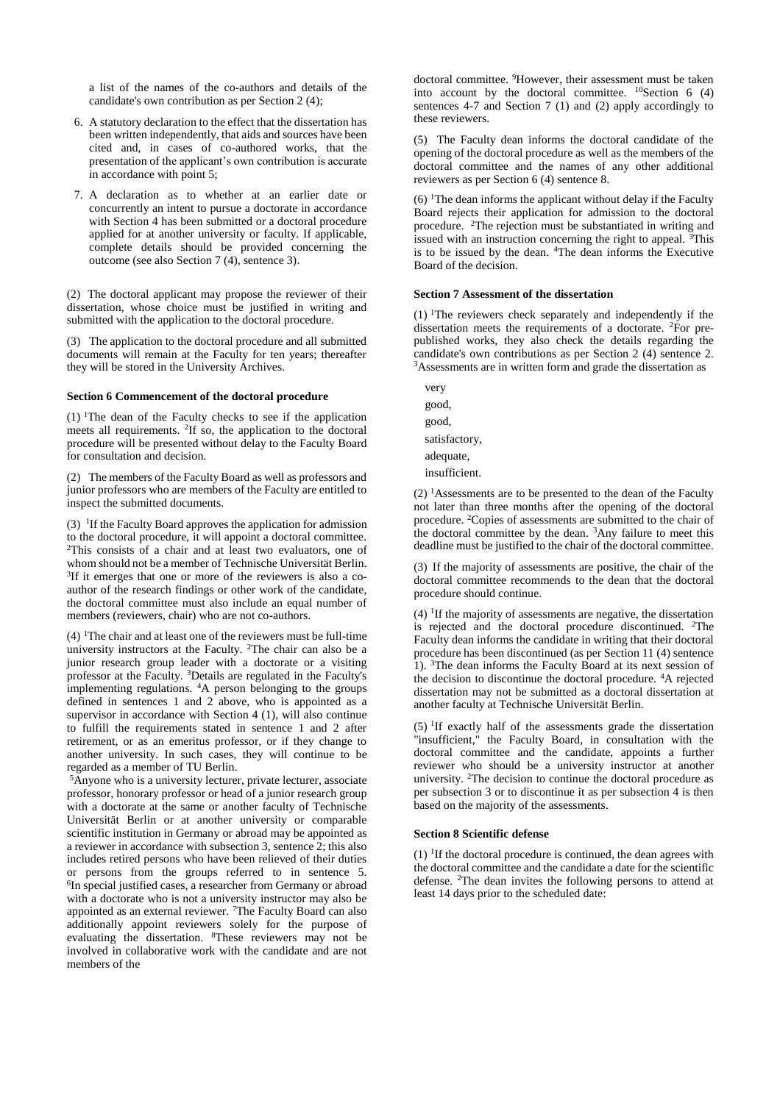a list of the names of the co-authors and details of the candidate's own contribution as per Section 2 (4);

- 6. A statutory declaration to the effect that the dissertation has been written independently, that aids and sources have been cited and, in cases of co-authored works, that the presentation of the applicant's own contribution is accurate in accordance with point 5;
- 7. A declaration as to whether at an earlier date or concurrently an intent to pursue a doctorate in accordance with Section 4 has been submitted or a doctoral procedure applied for at another university or faculty. If applicable, complete details should be provided concerning the outcome (see also Section 7 (4), sentence 3).

(2) The doctoral applicant may propose the reviewer of their dissertation, whose choice must be justified in writing and submitted with the application to the doctoral procedure.

(3) The application to the doctoral procedure and all submitted documents will remain at the Faculty for ten years; thereafter they will be stored in the University Archives.

### **Section 6 Commencement of the doctoral procedure**

(1)  $\text{I}$ The dean of the Faculty checks to see if the application meets all requirements. <sup>2</sup> If so, the application to the doctoral procedure will be presented without delay to the Faculty Board for consultation and decision.

(2) The members of the Faculty Board as well as professors and junior professors who are members of the Faculty are entitled to inspect the submitted documents.

(3) <sup>1</sup> If the Faculty Board approves the application for admission to the doctoral procedure, it will appoint a doctoral committee. <sup>2</sup>This consists of a chair and at least two evaluators, one of whom should not be a member of Technische Universität Berlin. <sup>3</sup>If it emerges that one or more of the reviewers is also a coauthor of the research findings or other work of the candidate, the doctoral committee must also include an equal number of members (reviewers, chair) who are not co-authors.

 $(4)$  <sup>1</sup>The chair and at least one of the reviewers must be full-time university instructors at the Faculty. <sup>2</sup>The chair can also be a junior research group leader with a doctorate or a visiting professor at the Faculty. <sup>3</sup>Details are regulated in the Faculty's implementing regulations. <sup>4</sup>A person belonging to the groups defined in sentences 1 and 2 above, who is appointed as a supervisor in accordance with Section 4 (1), will also continue to fulfill the requirements stated in sentence 1 and 2 after retirement, or as an emeritus professor, or if they change to another university. In such cases, they will continue to be regarded as a member of TU Berlin.

<sup>5</sup>Anyone who is a university lecturer, private lecturer, associate professor, honorary professor or head of a junior research group with a doctorate at the same or another faculty of Technische Universität Berlin or at another university or comparable scientific institution in Germany or abroad may be appointed as a reviewer in accordance with subsection 3, sentence 2; this also includes retired persons who have been relieved of their duties or persons from the groups referred to in sentence 5. 6 In special justified cases, a researcher from Germany or abroad with a doctorate who is not a university instructor may also be appointed as an external reviewer. <sup>7</sup>The Faculty Board can also additionally appoint reviewers solely for the purpose of evaluating the dissertation. <sup>8</sup>These reviewers may not be involved in collaborative work with the candidate and are not members of the

doctoral committee. <sup>9</sup>However, their assessment must be taken into account by the doctoral committee.  $^{10}$ Section 6 (4) sentences 4-7 and Section 7 (1) and (2) apply accordingly to these reviewers.

(5) The Faculty dean informs the doctoral candidate of the opening of the doctoral procedure as well as the members of the doctoral committee and the names of any other additional reviewers as per Section 6 (4) sentence 8.

 $(6)$  <sup>1</sup>The dean informs the applicant without delay if the Faculty Board rejects their application for admission to the doctoral procedure. <sup>2</sup>The rejection must be substantiated in writing and issued with an instruction concerning the right to appeal.  $3$ This is to be issued by the dean. <sup>4</sup>The dean informs the Executive Board of the decision.

## **Section 7 Assessment of the dissertation**

(1) <sup>1</sup>The reviewers check separately and independently if the dissertation meets the requirements of a doctorate. <sup>2</sup>For prepublished works, they also check the details regarding the candidate's own contributions as per Section 2 (4) sentence 2. <sup>3</sup>Assessments are in written form and grade the dissertation as

very good, good, satisfactory, adequate, insufficient.

 $(2)$  <sup>1</sup>Assessments are to be presented to the dean of the Faculty not later than three months after the opening of the doctoral procedure. <sup>2</sup>Copies of assessments are submitted to the chair of the doctoral committee by the dean. <sup>3</sup>Any failure to meet this deadline must be justified to the chair of the doctoral committee.

(3) If the majority of assessments are positive, the chair of the doctoral committee recommends to the dean that the doctoral procedure should continue.

 $(4)$  <sup>1</sup>If the majority of assessments are negative, the dissertation is rejected and the doctoral procedure discontinued. <sup>2</sup>The Faculty dean informs the candidate in writing that their doctoral procedure has been discontinued (as per Section 11 (4) sentence 1). <sup>3</sup>The dean informs the Faculty Board at its next session of the decision to discontinue the doctoral procedure. <sup>4</sup>A rejected dissertation may not be submitted as a doctoral dissertation at another faculty at Technische Universität Berlin.

(5) <sup>1</sup> If exactly half of the assessments grade the dissertation "insufficient," the Faculty Board, in consultation with the doctoral committee and the candidate, appoints a further reviewer who should be a university instructor at another university. <sup>2</sup>The decision to continue the doctoral procedure as per subsection 3 or to discontinue it as per subsection 4 is then based on the majority of the assessments.

#### **Section 8 Scientific defense**

(1) <sup>1</sup> If the doctoral procedure is continued, the dean agrees with the doctoral committee and the candidate a date for the scientific defense. <sup>2</sup>The dean invites the following persons to attend at least 14 days prior to the scheduled date: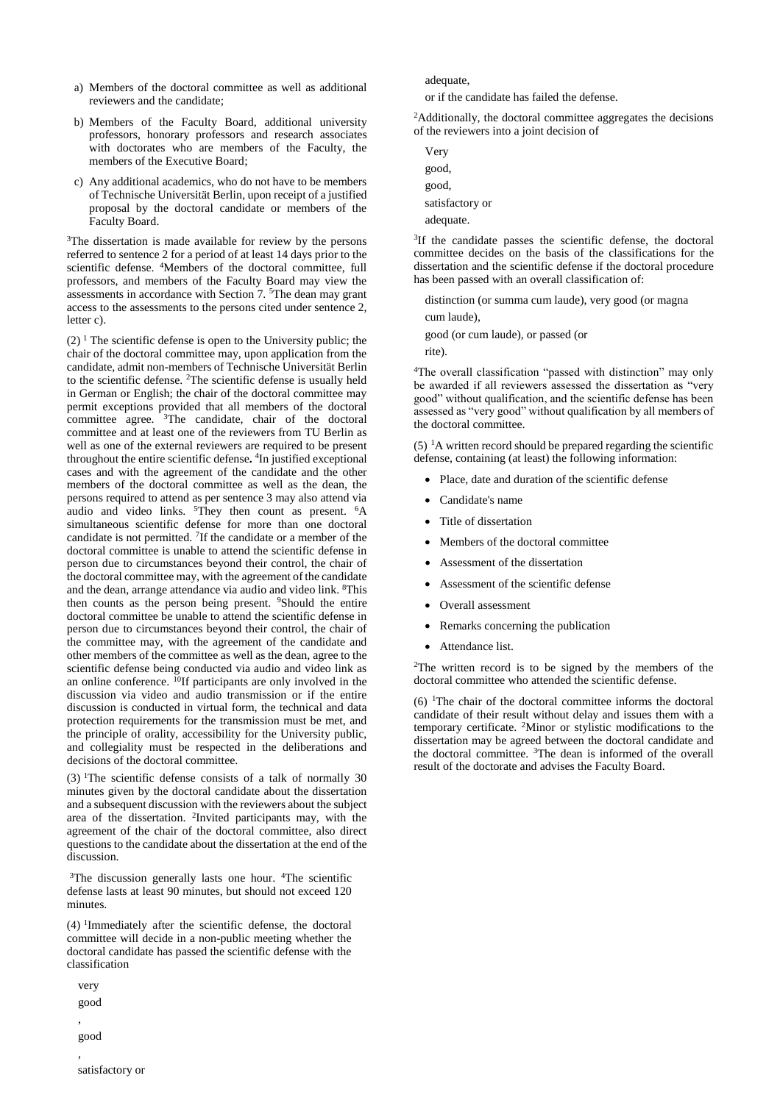- a) Members of the doctoral committee as well as additional reviewers and the candidate;
- b) Members of the Faculty Board, additional university professors, honorary professors and research associates with doctorates who are members of the Faculty, the members of the Executive Board;
- c) Any additional academics, who do not have to be members of Technische Universität Berlin, upon receipt of a justified proposal by the doctoral candidate or members of the Faculty Board.

<sup>3</sup>The dissertation is made available for review by the persons referred to sentence 2 for a period of at least 14 days prior to the scientific defense. <sup>4</sup>Members of the doctoral committee, full professors, and members of the Faculty Board may view the assessments in accordance with Section 7. <sup>5</sup>The dean may grant access to the assessments to the persons cited under sentence 2, letter c).

 $(2)$ <sup>1</sup> The scientific defense is open to the University public; the chair of the doctoral committee may, upon application from the candidate, admit non-members of Technische Universität Berlin to the scientific defense. <sup>2</sup>The scientific defense is usually held in German or English; the chair of the doctoral committee may permit exceptions provided that all members of the doctoral committee agree. <sup>3</sup>The candidate, chair of the doctoral committee and at least one of the reviewers from TU Berlin as well as one of the external reviewers are required to be present throughout the entire scientific defense**.** 4 In justified exceptional cases and with the agreement of the candidate and the other members of the doctoral committee as well as the dean, the persons required to attend as per sentence 3 may also attend via audio and video links. <sup>5</sup>They then count as present. <sup>6</sup>A simultaneous scientific defense for more than one doctoral candidate is not permitted. <sup>7</sup> If the candidate or a member of the doctoral committee is unable to attend the scientific defense in person due to circumstances beyond their control, the chair of the doctoral committee may, with the agreement of the candidate and the dean, arrange attendance via audio and video link. <sup>8</sup>This then counts as the person being present. <sup>9</sup>Should the entire doctoral committee be unable to attend the scientific defense in person due to circumstances beyond their control, the chair of the committee may, with the agreement of the candidate and other members of the committee as well as the dean, agree to the scientific defense being conducted via audio and video link as an online conference. <sup>10</sup>If participants are only involved in the discussion via video and audio transmission or if the entire discussion is conducted in virtual form, the technical and data protection requirements for the transmission must be met, and the principle of orality, accessibility for the University public, and collegiality must be respected in the deliberations and decisions of the doctoral committee.

 $(3)$  <sup>1</sup>The scientific defense consists of a talk of normally 30 minutes given by the doctoral candidate about the dissertation and a subsequent discussion with the reviewers about the subject area of the dissertation. <sup>2</sup>Invited participants may, with the agreement of the chair of the doctoral committee, also direct questions to the candidate about the dissertation at the end of the discussion.

<sup>3</sup>The discussion generally lasts one hour. <sup>4</sup>The scientific defense lasts at least 90 minutes, but should not exceed 120 minutes.

(4) <sup>1</sup> Immediately after the scientific defense, the doctoral committee will decide in a non-public meeting whether the doctoral candidate has passed the scientific defense with the classification

very good ,

good

,

satisfactory or

adequate,

or if the candidate has failed the defense.

<sup>2</sup>Additionally, the doctoral committee aggregates the decisions of the reviewers into a joint decision of

Very good, good, satisfactory or adequate.

<sup>3</sup>If the candidate passes the scientific defense, the doctoral committee decides on the basis of the classifications for the dissertation and the scientific defense if the doctoral procedure has been passed with an overall classification of:

distinction (or summa cum laude), very good (or magna cum laude),

good (or cum laude), or passed (or

rite).

<sup>4</sup>The overall classification "passed with distinction" may only be awarded if all reviewers assessed the dissertation as "very good" without qualification, and the scientific defense has been assessed as "very good" without qualification by all members of the doctoral committee.

 $(5)$  <sup>1</sup>A written record should be prepared regarding the scientific defense, containing (at least) the following information:

- Place, date and duration of the scientific defense
- Candidate's name
- Title of dissertation
- Members of the doctoral committee
- Assessment of the dissertation
- Assessment of the scientific defense
- Overall assessment
- Remarks concerning the publication
- Attendance list.

<sup>2</sup>The written record is to be signed by the members of the doctoral committee who attended the scientific defense.

 $(6)$  <sup>1</sup>The chair of the doctoral committee informs the doctoral candidate of their result without delay and issues them with a temporary certificate. <sup>2</sup>Minor or stylistic modifications to the dissertation may be agreed between the doctoral candidate and the doctoral committee. <sup>3</sup>The dean is informed of the overall result of the doctorate and advises the Faculty Board.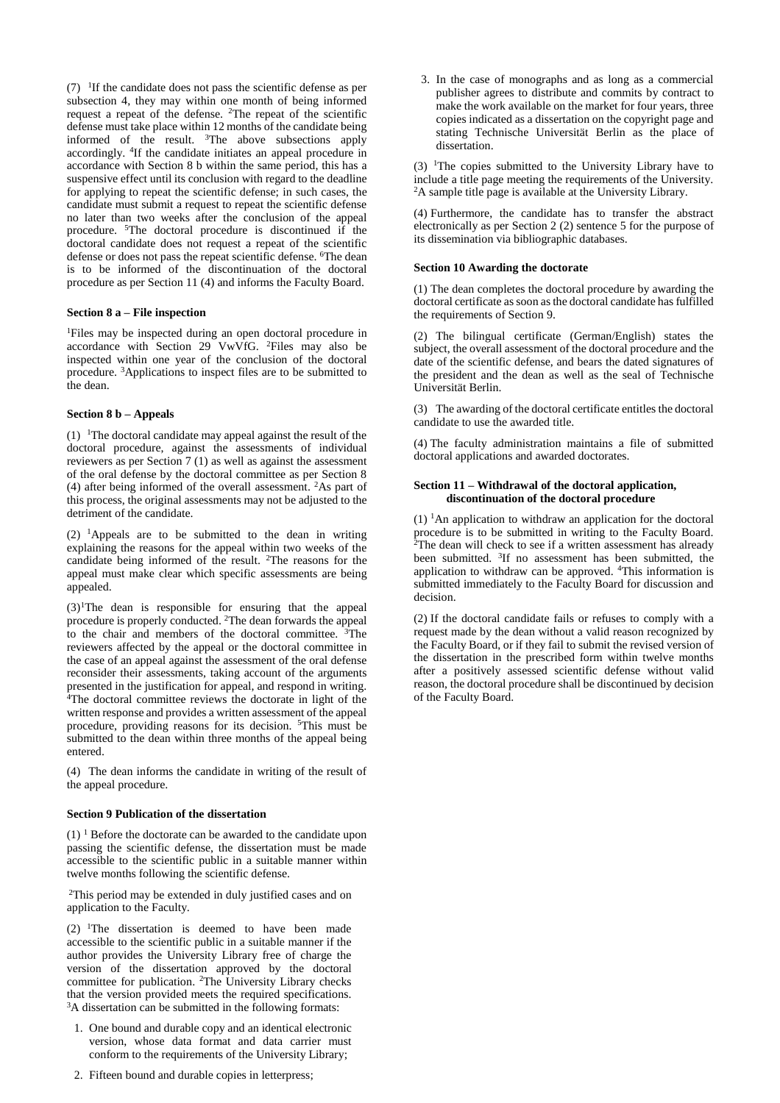$(7)$  <sup>1</sup>If the candidate does not pass the scientific defense as per subsection 4, they may within one month of being informed request a repeat of the defense. <sup>2</sup>The repeat of the scientific defense must take place within 12 months of the candidate being informed of the result. <sup>3</sup>The above subsections apply accordingly. <sup>4</sup> If the candidate initiates an appeal procedure in accordance with Section 8 b within the same period, this has a suspensive effect until its conclusion with regard to the deadline for applying to repeat the scientific defense; in such cases, the candidate must submit a request to repeat the scientific defense no later than two weeks after the conclusion of the appeal procedure. <sup>5</sup>The doctoral procedure is discontinued if the doctoral candidate does not request a repeat of the scientific defense or does not pass the repeat scientific defense. <sup>6</sup>The dean is to be informed of the discontinuation of the doctoral procedure as per Section 11 (4) and informs the Faculty Board.

# **Section 8 a – File inspection**

<sup>1</sup>Files may be inspected during an open doctoral procedure in accordance with Section 29 VwVfG. <sup>2</sup>Files may also be inspected within one year of the conclusion of the doctoral procedure. <sup>3</sup>Applications to inspect files are to be submitted to the dean.

#### **Section 8 b – Appeals**

 $(1)$ <sup>1</sup>The doctoral candidate may appeal against the result of the doctoral procedure, against the assessments of individual reviewers as per Section 7 (1) as well as against the assessment of the oral defense by the doctoral committee as per Section 8 (4) after being informed of the overall assessment. <sup>2</sup>As part of this process, the original assessments may not be adjusted to the detriment of the candidate.

(2) <sup>1</sup>Appeals are to be submitted to the dean in writing explaining the reasons for the appeal within two weeks of the candidate being informed of the result. <sup>2</sup>The reasons for the appeal must make clear which specific assessments are being appealed.

 $(3)$ <sup>1</sup>The dean is responsible for ensuring that the appeal procedure is properly conducted. <sup>2</sup>The dean forwards the appeal to the chair and members of the doctoral committee. <sup>3</sup>The reviewers affected by the appeal or the doctoral committee in the case of an appeal against the assessment of the oral defense reconsider their assessments, taking account of the arguments presented in the justification for appeal, and respond in writing. <sup>4</sup>The doctoral committee reviews the doctorate in light of the written response and provides a written assessment of the appeal procedure, providing reasons for its decision. <sup>5</sup>This must be submitted to the dean within three months of the appeal being entered.

(4) The dean informs the candidate in writing of the result of the appeal procedure.

# **Section 9 Publication of the dissertation**

 $(1)$ <sup>1</sup> Before the doctorate can be awarded to the candidate upon passing the scientific defense, the dissertation must be made accessible to the scientific public in a suitable manner within twelve months following the scientific defense.

<sup>2</sup>This period may be extended in duly justified cases and on application to the Faculty.

 $(2)$  <sup>1</sup>The dissertation is deemed to have been made accessible to the scientific public in a suitable manner if the author provides the University Library free of charge the version of the dissertation approved by the doctoral committee for publication. <sup>2</sup>The University Library checks that the version provided meets the required specifications. <sup>3</sup>A dissertation can be submitted in the following formats:

- 1. One bound and durable copy and an identical electronic version, whose data format and data carrier must conform to the requirements of the University Library;
- 2. Fifteen bound and durable copies in letterpress;

3. In the case of monographs and as long as a commercial publisher agrees to distribute and commits by contract to make the work available on the market for four years, three copies indicated as a dissertation on the copyright page and stating Technische Universität Berlin as the place of dissertation.

 $(3)$  <sup>1</sup>The copies submitted to the University Library have to include a title page meeting the requirements of the University. <sup>2</sup>A sample title page is available at the University Library.

(4) Furthermore, the candidate has to transfer the abstract electronically as per Section 2 (2) sentence 5 for the purpose of its dissemination via bibliographic databases.

#### **Section 10 Awarding the doctorate**

(1) The dean completes the doctoral procedure by awarding the doctoral certificate as soon as the doctoral candidate has fulfilled the requirements of Section 9.

(2) The bilingual certificate (German/English) states the subject, the overall assessment of the doctoral procedure and the date of the scientific defense, and bears the dated signatures of the president and the dean as well as the seal of Technische Universität Berlin.

(3) The awarding of the doctoral certificate entitles the doctoral candidate to use the awarded title.

(4) The faculty administration maintains a file of submitted doctoral applications and awarded doctorates.

## **Section 11 – Withdrawal of the doctoral application, discontinuation of the doctoral procedure**

 $(1)$  <sup>1</sup>An application to withdraw an application for the doctoral procedure is to be submitted in writing to the Faculty Board. <sup>2</sup>The dean will check to see if a written assessment has already been submitted. <sup>3</sup>If no assessment has been submitted, the application to withdraw can be approved. <sup>4</sup>This information is submitted immediately to the Faculty Board for discussion and decision.

(2) If the doctoral candidate fails or refuses to comply with a request made by the dean without a valid reason recognized by the Faculty Board, or if they fail to submit the revised version of the dissertation in the prescribed form within twelve months after a positively assessed scientific defense without valid reason, the doctoral procedure shall be discontinued by decision of the Faculty Board.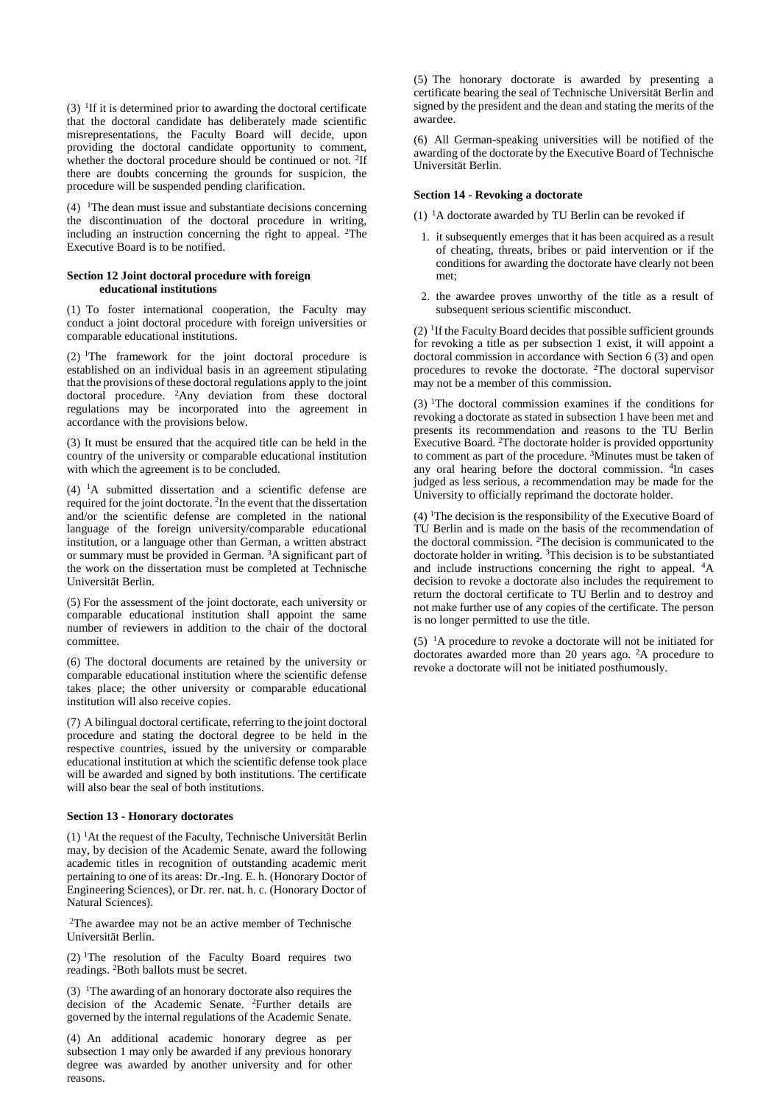$(3)$  <sup>1</sup>If it is determined prior to awarding the doctoral certificate that the doctoral candidate has deliberately made scientific misrepresentations, the Faculty Board will decide, upon providing the doctoral candidate opportunity to comment, whether the doctoral procedure should be continued or not. <sup>2</sup>If there are doubts concerning the grounds for suspicion, the procedure will be suspended pending clarification.

(4)  $\text{ }$  1The dean must issue and substantiate decisions concerning the discontinuation of the doctoral procedure in writing, including an instruction concerning the right to appeal. <sup>2</sup>The Executive Board is to be notified.

# **Section 12 Joint doctoral procedure with foreign educational institutions**

(1) To foster international cooperation, the Faculty may conduct a joint doctoral procedure with foreign universities or comparable educational institutions.

 $(2)$  <sup>1</sup>The framework for the joint doctoral procedure is established on an individual basis in an agreement stipulating that the provisions of these doctoral regulations apply to the joint doctoral procedure. <sup>2</sup>Any deviation from these doctoral regulations may be incorporated into the agreement in accordance with the provisions below.

(3) It must be ensured that the acquired title can be held in the country of the university or comparable educational institution with which the agreement is to be concluded.

 $(4)$  <sup>1</sup>A submitted dissertation and a scientific defense are required for the joint doctorate. <sup>2</sup>In the event that the dissertation and/or the scientific defense are completed in the national language of the foreign university/comparable educational institution, or a language other than German, a written abstract or summary must be provided in German. <sup>3</sup>A significant part of the work on the dissertation must be completed at Technische Universität Berlin.

(5) For the assessment of the joint doctorate, each university or comparable educational institution shall appoint the same number of reviewers in addition to the chair of the doctoral committee.

(6) The doctoral documents are retained by the university or comparable educational institution where the scientific defense takes place; the other university or comparable educational institution will also receive copies.

(7) A bilingual doctoral certificate, referring to the joint doctoral procedure and stating the doctoral degree to be held in the respective countries, issued by the university or comparable educational institution at which the scientific defense took place will be awarded and signed by both institutions. The certificate will also bear the seal of both institutions.

# **Section 13 - Honorary doctorates**

(1) <sup>1</sup>At the request of the Faculty, Technische Universität Berlin may, by decision of the Academic Senate, award the following academic titles in recognition of outstanding academic merit pertaining to one of its areas: Dr.-Ing. E. h. (Honorary Doctor of Engineering Sciences), or Dr. rer. nat. h. c. (Honorary Doctor of Natural Sciences).

<sup>2</sup>The awardee may not be an active member of Technische Universität Berlin.

(2) <sup>1</sup>The resolution of the Faculty Board requires two readings. <sup>2</sup>Both ballots must be secret.

(3)  $\text{I}$ The awarding of an honorary doctorate also requires the decision of the Academic Senate. <sup>2</sup>Further details are governed by the internal regulations of the Academic Senate.

(4) An additional academic honorary degree as per subsection 1 may only be awarded if any previous honorary degree was awarded by another university and for other reasons.

(5) The honorary doctorate is awarded by presenting a certificate bearing the seal of Technische Universität Berlin and signed by the president and the dean and stating the merits of the awardee.

(6) All German-speaking universities will be notified of the awarding of the doctorate by the Executive Board of Technische Universität Berlin.

# **Section 14 - Revoking a doctorate**

(1)  $\mathrm{^{1}A}$  doctorate awarded by TU Berlin can be revoked if

- 1. it subsequently emerges that it has been acquired as a result of cheating, threats, bribes or paid intervention or if the conditions for awarding the doctorate have clearly not been met;
- 2. the awardee proves unworthy of the title as a result of subsequent serious scientific misconduct.

(2) <sup>1</sup> If the Faculty Board decides that possible sufficient grounds for revoking a title as per subsection 1 exist, it will appoint a doctoral commission in accordance with Section 6 (3) and open procedures to revoke the doctorate. <sup>2</sup>The doctoral supervisor may not be a member of this commission.

(3) <sup>1</sup>The doctoral commission examines if the conditions for revoking a doctorate as stated in subsection 1 have been met and presents its recommendation and reasons to the TU Berlin Executive Board. <sup>2</sup>The doctorate holder is provided opportunity to comment as part of the procedure. <sup>3</sup>Minutes must be taken of any oral hearing before the doctoral commission. <sup>4</sup> In cases judged as less serious, a recommendation may be made for the University to officially reprimand the doctorate holder.

 $(4)$  <sup>1</sup>The decision is the responsibility of the Executive Board of TU Berlin and is made on the basis of the recommendation of the doctoral commission. <sup>2</sup>The decision is communicated to the doctorate holder in writing. <sup>3</sup>This decision is to be substantiated and include instructions concerning the right to appeal. <sup>4</sup>A decision to revoke a doctorate also includes the requirement to return the doctoral certificate to TU Berlin and to destroy and not make further use of any copies of the certificate. The person is no longer permitted to use the title.

 $(5)$  <sup>1</sup>A procedure to revoke a doctorate will not be initiated for doctorates awarded more than 20 years ago. <sup>2</sup>A procedure to revoke a doctorate will not be initiated posthumously.